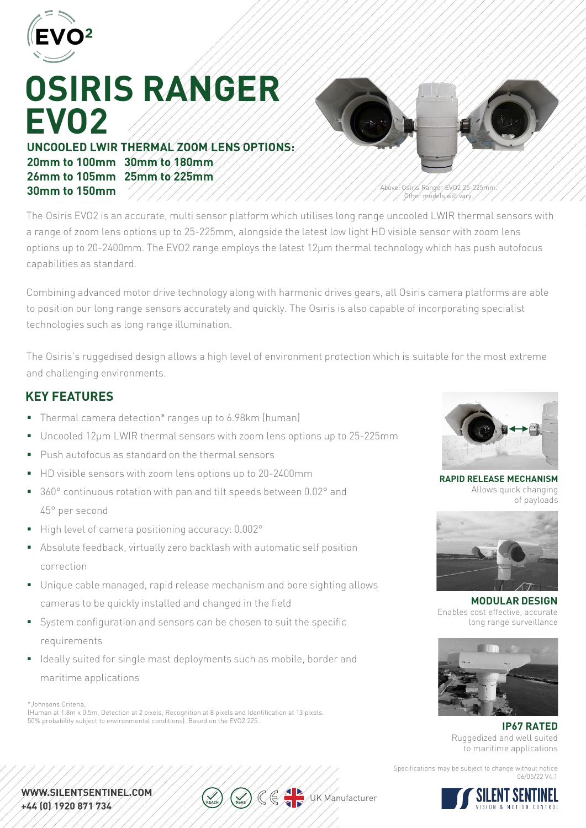

# **OSIRIS RANGER EVO2**

**UNCOOLED LWIR THERMAL ZOOM LENS OPTIONS: 20mm to 100mm 30mm to 180mm 26mm to 105mm 25mm to 225mm 30mm to 150mm**



Above: Osiris Ranger EVO2 25-225mm. Other models will vary.

The Osiris EVO2 is an accurate, multi sensor platform which utilises long range uncooled LWIR thermal sensors with a range of zoom lens options up to 25-225mm, alongside the latest low light HD visible sensor with zoom lens options up to 20-2400mm. The EVO2 range employs the latest 12μm thermal technology which has push autofocus capabilities as standard.

Combining advanced motor drive technology along with harmonic drives gears, all Osiris camera platforms are able to position our long range sensors accurately and quickly. The Osiris is also capable of incorporating specialist technologies such as long range illumination.

The Osiris's ruggedised design allows a high level of environment protection which is suitable for the most extreme and challenging environments.

### **KEY FEATURES**

- Thermal camera detection\* ranges up to 6.98km (human)
- Uncooled 12µm LWIR thermal sensors with zoom lens options up to 25-225mm
- **Push autofocus as standard on the thermal sensors**
- HD visible sensors with zoom lens options up to 20-2400mm
- 360° continuous rotation with pan and tilt speeds between 0.02° and 45° per second
- High level of camera positioning accuracy: 0.002°
- Absolute feedback, virtually zero backlash with automatic self position correction
- Unique cable managed, rapid release mechanism and bore sighting allows cameras to be quickly installed and changed in the field
- System configuration and sensors can be chosen to suit the specific requirements
- I Ideally suited for single mast deployments such as mobile, border and maritime applications

\*Johnsons Criteria,

(Human at 1.8m x 0.5m, Detection at 2 pixels, Recognition at 8 pixels and Identification at 13 pixels. 50% probability subject to environmental conditions). Based on the EVO2 225.



**RAPID RELEASE MECHANISM** Allows quick changing of payloads



**MODULAR DESIGN** Enables cost effective, accurate long range surveillance



**IP67 RATED** Ruggedized and well suited to maritime applications

Specifications may be subject to change without notice 06/05/22 V4.1



WWW.SILENTSENTINEL.COM. +44 (0) 1920 871 734

 $\sqrt{u}$ K Manufacturer